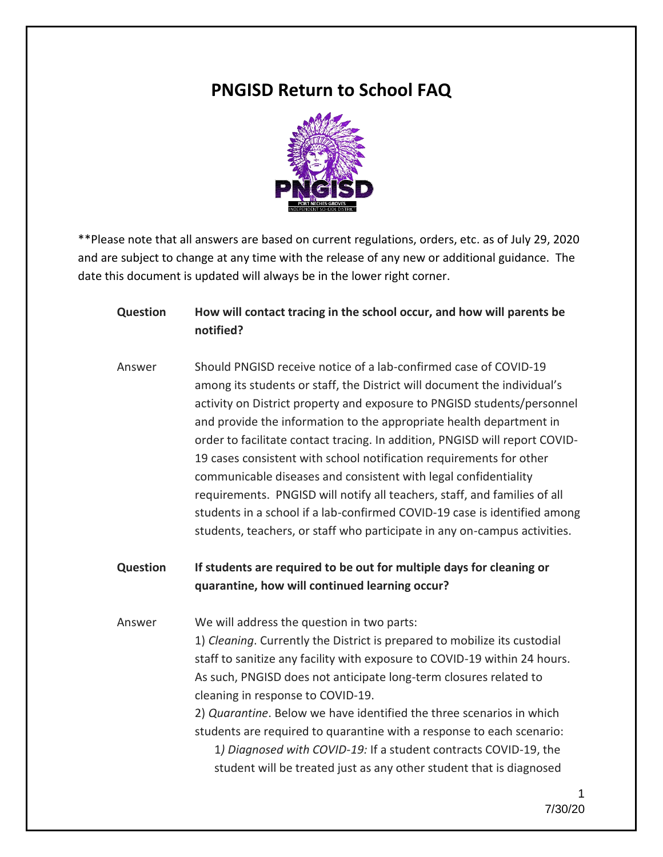# **PNGISD Return to School FAQ**



\*\*Please note that all answers are based on current regulations, orders, etc. as of July 29, 2020 and are subject to change at any time with the release of any new or additional guidance. The date this document is updated will always be in the lower right corner.

**Question How will contact tracing in the school occur, and how will parents be notified?**

Answer Should PNGISD receive notice of a lab-confirmed case of COVID-19 among its students or staff, the District will document the individual's activity on District property and exposure to PNGISD students/personnel and provide the information to the appropriate health department in order to facilitate contact tracing. In addition, PNGISD will report COVID-19 cases consistent with school notification requirements for other communicable diseases and consistent with legal confidentiality requirements. PNGISD will notify all teachers, staff, and families of all students in a school if a lab-confirmed COVID-19 case is identified among students, teachers, or staff who participate in any on-campus activities.

**Question If students are required to be out for multiple days for cleaning or quarantine, how will continued learning occur?**

Answer We will address the question in two parts: 1) *Cleaning*. Currently the District is prepared to mobilize its custodial staff to sanitize any facility with exposure to COVID-19 within 24 hours. As such, PNGISD does not anticipate long-term closures related to cleaning in response to COVID-19.

> 2) *Quarantine*. Below we have identified the three scenarios in which students are required to quarantine with a response to each scenario: 1*) Diagnosed with COVID-19:* If a student contracts COVID-19, the student will be treated just as any other student that is diagnosed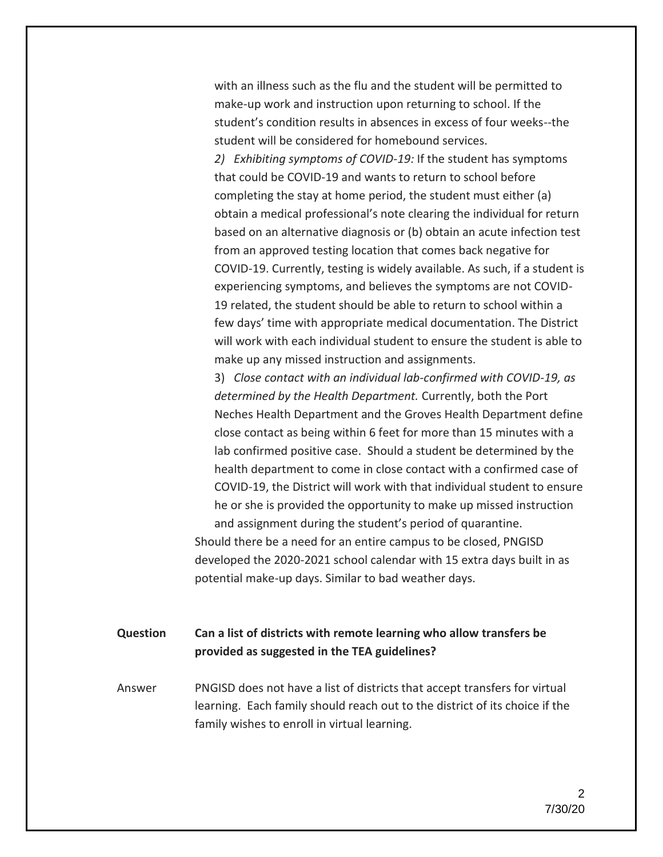with an illness such as the flu and the student will be permitted to make-up work and instruction upon returning to school. If the student's condition results in absences in excess of four weeks--the student will be considered for homebound services.

*2) Exhibiting symptoms of COVID-19:* If the student has symptoms that could be COVID-19 and wants to return to school before completing the stay at home period, the student must either (a) obtain a medical professional's note clearing the individual for return based on an alternative diagnosis or (b) obtain an acute infection test from an approved testing location that comes back negative for COVID-19. Currently, testing is widely available. As such, if a student is experiencing symptoms, and believes the symptoms are not COVID-19 related, the student should be able to return to school within a few days' time with appropriate medical documentation. The District will work with each individual student to ensure the student is able to make up any missed instruction and assignments.

3) *Close contact with an individual lab-confirmed with COVID-19, as determined by the Health Department.* Currently, both the Port Neches Health Department and the Groves Health Department define close contact as being within 6 feet for more than 15 minutes with a lab confirmed positive case. Should a student be determined by the health department to come in close contact with a confirmed case of COVID-19, the District will work with that individual student to ensure he or she is provided the opportunity to make up missed instruction and assignment during the student's period of quarantine.

Should there be a need for an entire campus to be closed, PNGISD developed the 2020-2021 school calendar with 15 extra days built in as potential make-up days. Similar to bad weather days.

### **Question Can a list of districts with remote learning who allow transfers be provided as suggested in the TEA guidelines?**

Answer PNGISD does not have a list of districts that accept transfers for virtual learning. Each family should reach out to the district of its choice if the family wishes to enroll in virtual learning.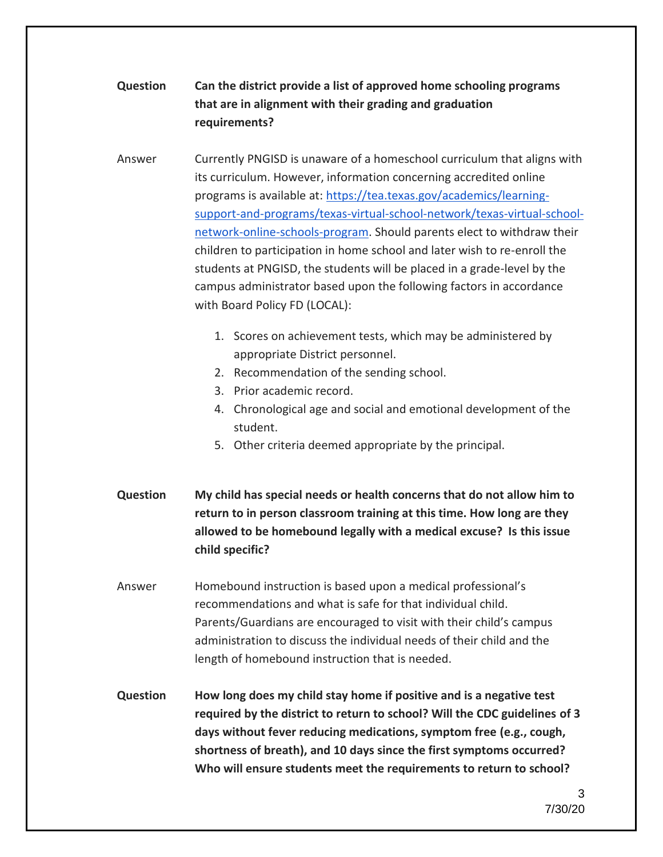# **Question Can the district provide a list of approved home schooling programs that are in alignment with their grading and graduation requirements?**

Answer Currently PNGISD is unaware of a homeschool curriculum that aligns with its curriculum. However, information concerning accredited online programs is available at: [https://tea.texas.gov/academics/learning](https://tea.texas.gov/academics/learning-support-and-programs/texas-virtual-school-network/texas-virtual-school-network-online-schools-program)[support-and-programs/texas-virtual-school-network/texas-virtual-school](https://tea.texas.gov/academics/learning-support-and-programs/texas-virtual-school-network/texas-virtual-school-network-online-schools-program)[network-online-schools-program.](https://tea.texas.gov/academics/learning-support-and-programs/texas-virtual-school-network/texas-virtual-school-network-online-schools-program) Should parents elect to withdraw their children to participation in home school and later wish to re-enroll the students at PNGISD, the students will be placed in a grade-level by the campus administrator based upon the following factors in accordance with Board Policy FD (LOCAL):

- 1. Scores on achievement tests, which may be administered by appropriate District personnel.
- 2. Recommendation of the sending school.
- 3. Prior academic record.
- 4. Chronological age and social and emotional development of the student.
- 5. Other criteria deemed appropriate by the principal.
- **Question My child has special needs or health concerns that do not allow him to return to in person classroom training at this time. How long are they allowed to be homebound legally with a medical excuse? Is this issue child specific?**
- Answer Homebound instruction is based upon a medical professional's recommendations and what is safe for that individual child. Parents/Guardians are encouraged to visit with their child's campus administration to discuss the individual needs of their child and the length of homebound instruction that is needed.
- **Question How long does my child stay home if positive and is a negative test required by the district to return to school? Will the CDC guidelines of 3 days without fever reducing medications, symptom free (e.g., cough, shortness of breath), and 10 days since the first symptoms occurred? Who will ensure students meet the requirements to return to school?**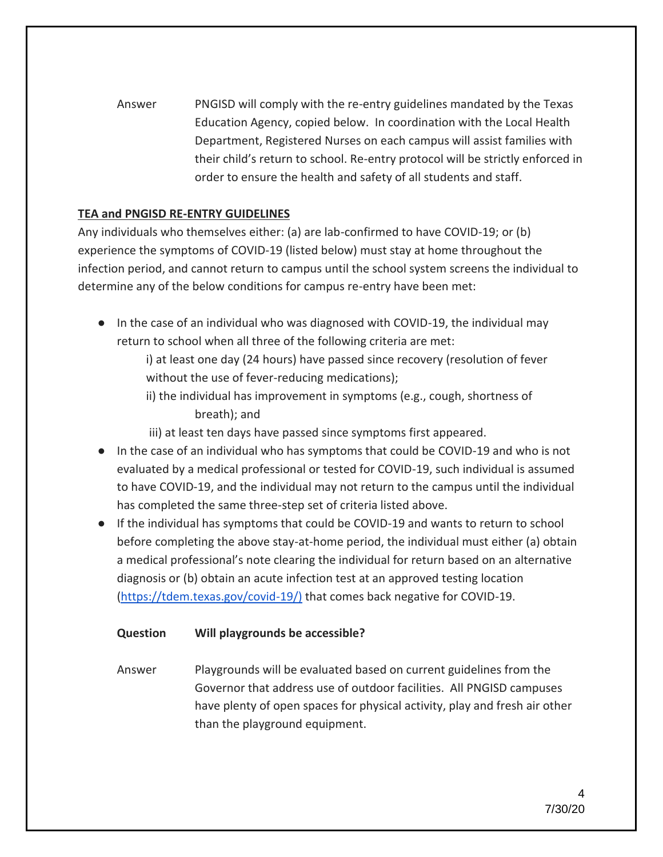Answer PNGISD will comply with the re-entry guidelines mandated by the Texas Education Agency, copied below. In coordination with the Local Health Department, Registered Nurses on each campus will assist families with their child's return to school. Re-entry protocol will be strictly enforced in order to ensure the health and safety of all students and staff.

### **TEA and PNGISD RE-ENTRY GUIDELINES**

Any individuals who themselves either: (a) are lab-confirmed to have COVID-19; or (b) experience the symptoms of COVID-19 (listed below) must stay at home throughout the infection period, and cannot return to campus until the school system screens the individual to determine any of the below conditions for campus re-entry have been met:

● In the case of an individual who was diagnosed with COVID-19, the individual may return to school when all three of the following criteria are met:

i) at least one day (24 hours) have passed since recovery (resolution of fever without the use of fever-reducing medications);

ii) the individual has improvement in symptoms (e.g., cough, shortness of breath); and

iii) at least ten days have passed since symptoms first appeared.

- In the case of an individual who has symptoms that could be COVID-19 and who is not evaluated by a medical professional or tested for COVID-19, such individual is assumed to have COVID-19, and the individual may not return to the campus until the individual has completed the same three-step set of criteria listed above.
- If the individual has symptoms that could be COVID-19 and wants to return to school before completing the above stay-at-home period, the individual must either (a) obtain a medical professional's note clearing the individual for return based on an alternative diagnosis or (b) obtain an acute infection test at an approved testing location [\(https://tdem.texas.gov/covid-19/\)](https://tdem.texas.gov/covid-19/) that comes back negative for COVID-19.

### **Question Will playgrounds be accessible?**

Answer Playgrounds will be evaluated based on current guidelines from the Governor that address use of outdoor facilities. All PNGISD campuses have plenty of open spaces for physical activity, play and fresh air other than the playground equipment.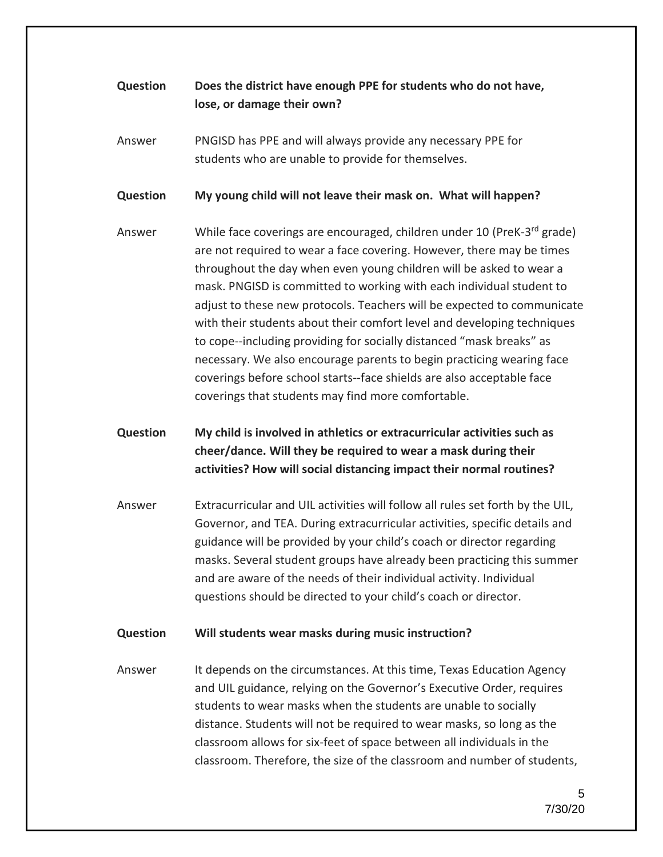# **Question Does the district have enough PPE for students who do not have, lose, or damage their own?**

Answer PNGISD has PPE and will always provide any necessary PPE for students who are unable to provide for themselves.

**Question My young child will not leave their mask on. What will happen?**

Answer Mhile face coverings are encouraged, children under 10 (PreK-3<sup>rd</sup> grade) are not required to wear a face covering. However, there may be times throughout the day when even young children will be asked to wear a mask. PNGISD is committed to working with each individual student to adjust to these new protocols. Teachers will be expected to communicate with their students about their comfort level and developing techniques to cope--including providing for socially distanced "mask breaks" as necessary. We also encourage parents to begin practicing wearing face coverings before school starts--face shields are also acceptable face coverings that students may find more comfortable.

# **Question My child is involved in athletics or extracurricular activities such as cheer/dance. Will they be required to wear a mask during their activities? How will social distancing impact their normal routines?**

Answer Extracurricular and UIL activities will follow all rules set forth by the UIL, Governor, and TEA. During extracurricular activities, specific details and guidance will be provided by your child's coach or director regarding masks. Several student groups have already been practicing this summer and are aware of the needs of their individual activity. Individual questions should be directed to your child's coach or director.

### **Question Will students wear masks during music instruction?**

Answer It depends on the circumstances. At this time, Texas Education Agency and UIL guidance, relying on the Governor's Executive Order, requires students to wear masks when the students are unable to socially distance. Students will not be required to wear masks, so long as the classroom allows for six-feet of space between all individuals in the classroom. Therefore, the size of the classroom and number of students,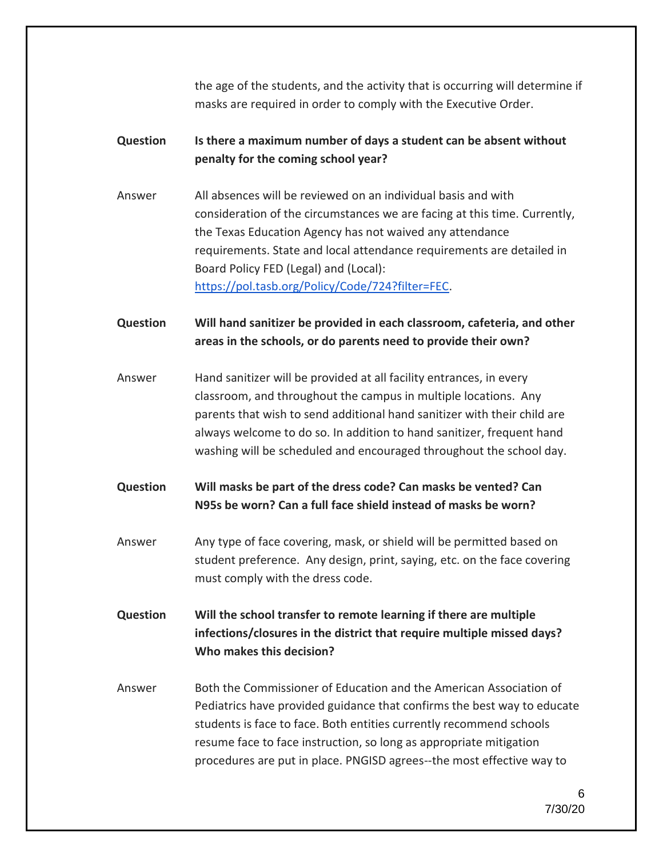the age of the students, and the activity that is occurring will determine if masks are required in order to comply with the Executive Order.

### **Question Is there a maximum number of days a student can be absent without penalty for the coming school year?**

Answer All absences will be reviewed on an individual basis and with consideration of the circumstances we are facing at this time. Currently, the Texas Education Agency has not waived any attendance requirements. State and local attendance requirements are detailed in Board Policy FED (Legal) and (Local): [https://pol.tasb.org/Policy/Code/724?filter=FEC.](https://pol.tasb.org/Policy/Code/724?filter=FEC)

**Question Will hand sanitizer be provided in each classroom, cafeteria, and other areas in the schools, or do parents need to provide their own?**

Answer Hand sanitizer will be provided at all facility entrances, in every classroom, and throughout the campus in multiple locations. Any parents that wish to send additional hand sanitizer with their child are always welcome to do so. In addition to hand sanitizer, frequent hand washing will be scheduled and encouraged throughout the school day.

### **Question Will masks be part of the dress code? Can masks be vented? Can N95s be worn? Can a full face shield instead of masks be worn?**

Answer Any type of face covering, mask, or shield will be permitted based on student preference. Any design, print, saying, etc. on the face covering must comply with the dress code.

**Question Will the school transfer to remote learning if there are multiple infections/closures in the district that require multiple missed days? Who makes this decision?**

Answer Both the Commissioner of Education and the American Association of Pediatrics have provided guidance that confirms the best way to educate students is face to face. Both entities currently recommend schools resume face to face instruction, so long as appropriate mitigation procedures are put in place. PNGISD agrees--the most effective way to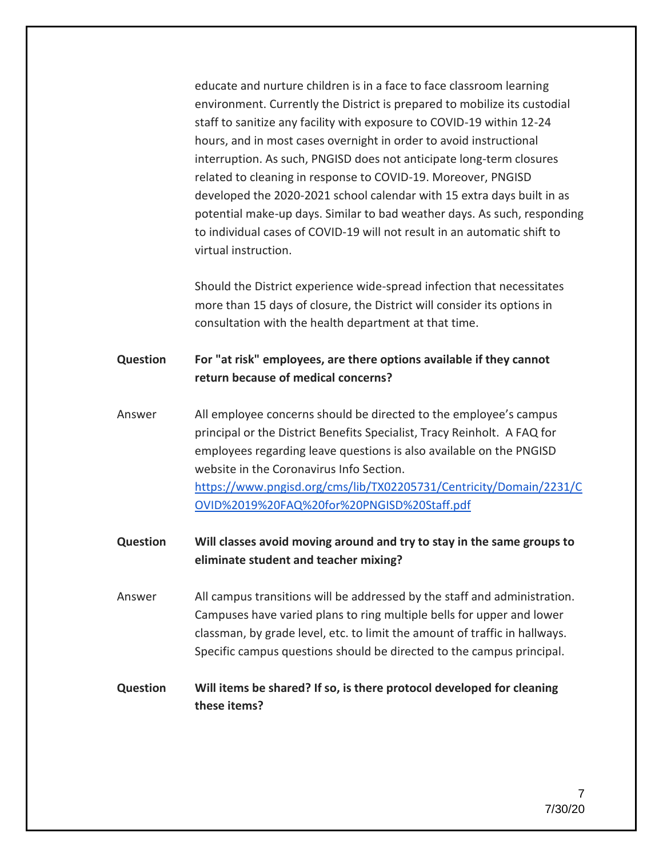educate and nurture children is in a face to face classroom learning environment. Currently the District is prepared to mobilize its custodial staff to sanitize any facility with exposure to COVID-19 within 12-24 hours, and in most cases overnight in order to avoid instructional interruption. As such, PNGISD does not anticipate long-term closures related to cleaning in response to COVID-19. Moreover, PNGISD developed the 2020-2021 school calendar with 15 extra days built in as potential make-up days. Similar to bad weather days. As such, responding to individual cases of COVID-19 will not result in an automatic shift to virtual instruction.

Should the District experience wide-spread infection that necessitates more than 15 days of closure, the District will consider its options in consultation with the health department at that time.

### **Question For "at risk" employees, are there options available if they cannot return because of medical concerns?**

- Answer All employee concerns should be directed to the employee's campus principal or the District Benefits Specialist, Tracy Reinholt. A FAQ for employees regarding leave questions is also available on the PNGISD website in the Coronavirus Info Section. [https://www.pngisd.org/cms/lib/TX02205731/Centricity/Domain/2231/C](https://www.pngisd.org/cms/lib/TX02205731/Centricity/Domain/2231/COVID%2019%20FAQ%20for%20PNGISD%20Staff.pdf) [OVID%2019%20FAQ%20for%20PNGISD%20Staff.pdf](https://www.pngisd.org/cms/lib/TX02205731/Centricity/Domain/2231/COVID%2019%20FAQ%20for%20PNGISD%20Staff.pdf)
- **Question Will classes avoid moving around and try to stay in the same groups to eliminate student and teacher mixing?**

Answer All campus transitions will be addressed by the staff and administration. Campuses have varied plans to ring multiple bells for upper and lower classman, by grade level, etc. to limit the amount of traffic in hallways. Specific campus questions should be directed to the campus principal.

### **Question Will items be shared? If so, is there protocol developed for cleaning these items?**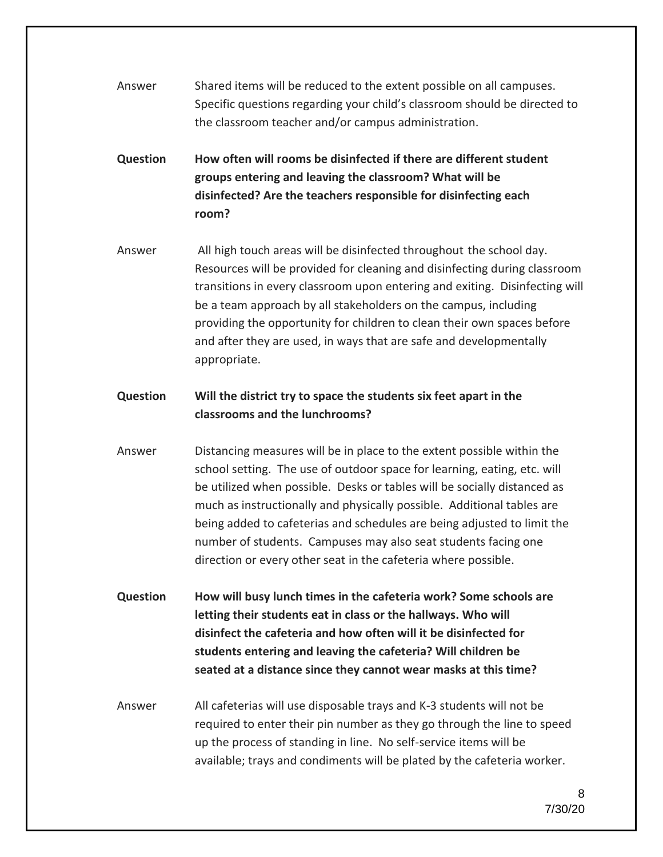- Answer Shared items will be reduced to the extent possible on all campuses. Specific questions regarding your child's classroom should be directed to the classroom teacher and/or campus administration.
- **Question How often will rooms be disinfected if there are different student groups entering and leaving the classroom? What will be disinfected? Are the teachers responsible for disinfecting each room?**
- Answer All high touch areas will be disinfected throughout the school day. Resources will be provided for cleaning and disinfecting during classroom transitions in every classroom upon entering and exiting. Disinfecting will be a team approach by all stakeholders on the campus, including providing the opportunity for children to clean their own spaces before and after they are used, in ways that are safe and developmentally appropriate.

### **Question Will the district try to space the students six feet apart in the classrooms and the lunchrooms?**

- Answer Distancing measures will be in place to the extent possible within the school setting. The use of outdoor space for learning, eating, etc. will be utilized when possible. Desks or tables will be socially distanced as much as instructionally and physically possible. Additional tables are being added to cafeterias and schedules are being adjusted to limit the number of students. Campuses may also seat students facing one direction or every other seat in the cafeteria where possible.
- **Question How will busy lunch times in the cafeteria work? Some schools are letting their students eat in class or the hallways. Who will disinfect the cafeteria and how often will it be disinfected for students entering and leaving the cafeteria? Will children be seated at a distance since they cannot wear masks at this time?**
- Answer All cafeterias will use disposable trays and K-3 students will not be required to enter their pin number as they go through the line to speed up the process of standing in line. No self-service items will be available; trays and condiments will be plated by the cafeteria worker.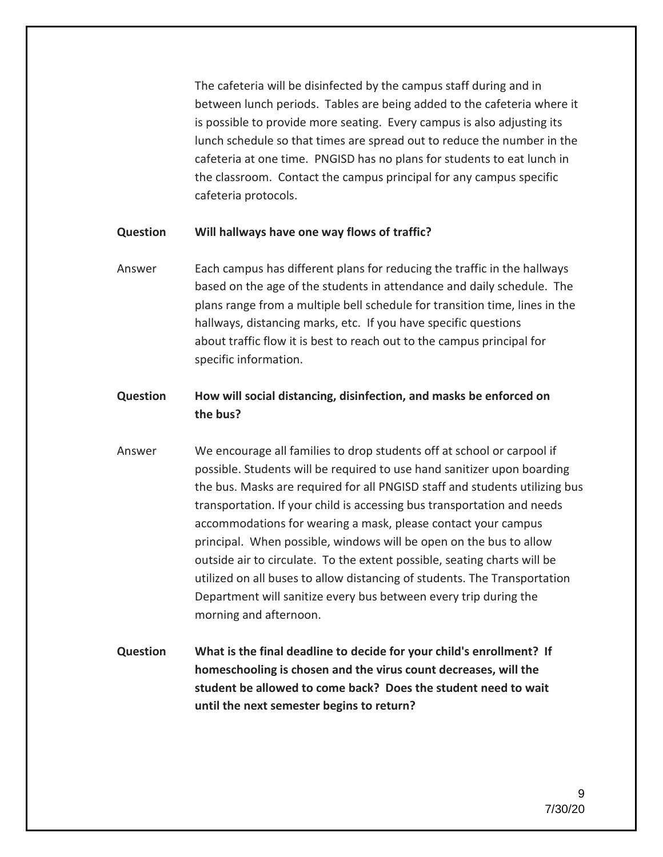The cafeteria will be disinfected by the campus staff during and in between lunch periods. Tables are being added to the cafeteria where it is possible to provide more seating. Every campus is also adjusting its lunch schedule so that times are spread out to reduce the number in the cafeteria at one time. PNGISD has no plans for students to eat lunch in the classroom. Contact the campus principal for any campus specific cafeteria protocols.

#### **Question Will hallways have one way flows of traffic?**

Answer Each campus has different plans for reducing the traffic in the hallways based on the age of the students in attendance and daily schedule. The plans range from a multiple bell schedule for transition time, lines in the hallways, distancing marks, etc. If you have specific questions about traffic flow it is best to reach out to the campus principal for specific information.

### **Question How will social distancing, disinfection, and masks be enforced on the bus?**

- Answer We encourage all families to drop students off at school or carpool if possible. Students will be required to use hand sanitizer upon boarding the bus. Masks are required for all PNGISD staff and students utilizing bus transportation. If your child is accessing bus transportation and needs accommodations for wearing a mask, please contact your campus principal. When possible, windows will be open on the bus to allow outside air to circulate. To the extent possible, seating charts will be utilized on all buses to allow distancing of students. The Transportation Department will sanitize every bus between every trip during the morning and afternoon.
- **Question What is the final deadline to decide for your child's enrollment? If homeschooling is chosen and the virus count decreases, will the student be allowed to come back? Does the student need to wait until the next semester begins to return?**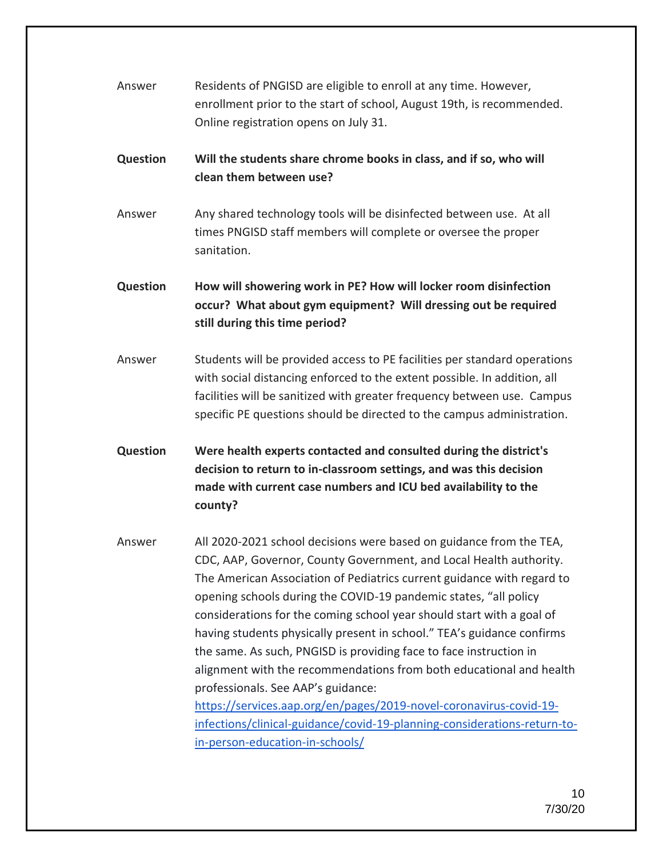| Answer | Residents of PNGISD are eligible to enroll at any time. However,      |
|--------|-----------------------------------------------------------------------|
|        | enrollment prior to the start of school, August 19th, is recommended. |
|        | Online registration opens on July 31.                                 |
|        |                                                                       |

### **Question Will the students share chrome books in class, and if so, who will clean them between use?**

Answer Any shared technology tools will be disinfected between use. At all times PNGISD staff members will complete or oversee the proper sanitation.

**Question How will showering work in PE? How will locker room disinfection occur? What about gym equipment? Will dressing out be required still during this time period?** 

Answer Students will be provided access to PE facilities per standard operations with social distancing enforced to the extent possible. In addition, all facilities will be sanitized with greater frequency between use. Campus specific PE questions should be directed to the campus administration.

**Question Were health experts contacted and consulted during the district's decision to return to in-classroom settings, and was this decision made with current case numbers and ICU bed availability to the county?**

Answer All 2020-2021 school decisions were based on guidance from the TEA, CDC, AAP, Governor, County Government, and Local Health authority. The American Association of Pediatrics current guidance with regard to opening schools during the COVID-19 pandemic states, "all policy considerations for the coming school year should start with a goal of having students physically present in school." TEA's guidance confirms the same. As such, PNGISD is providing face to face instruction in alignment with the recommendations from both educational and health professionals. See AAP's guidance: [https://services.aap.org/en/pages/2019-novel-coronavirus-covid-19-](https://services.aap.org/en/pages/2019-novel-coronavirus-covid-19-infections/clinical-guidance/covid-19-planning-considerations-return-to-in-person-education-in-schools/)

[infections/clinical-guidance/covid-19-planning-considerations-return-to](https://services.aap.org/en/pages/2019-novel-coronavirus-covid-19-infections/clinical-guidance/covid-19-planning-considerations-return-to-in-person-education-in-schools/)[in-person-education-in-schools/](https://services.aap.org/en/pages/2019-novel-coronavirus-covid-19-infections/clinical-guidance/covid-19-planning-considerations-return-to-in-person-education-in-schools/)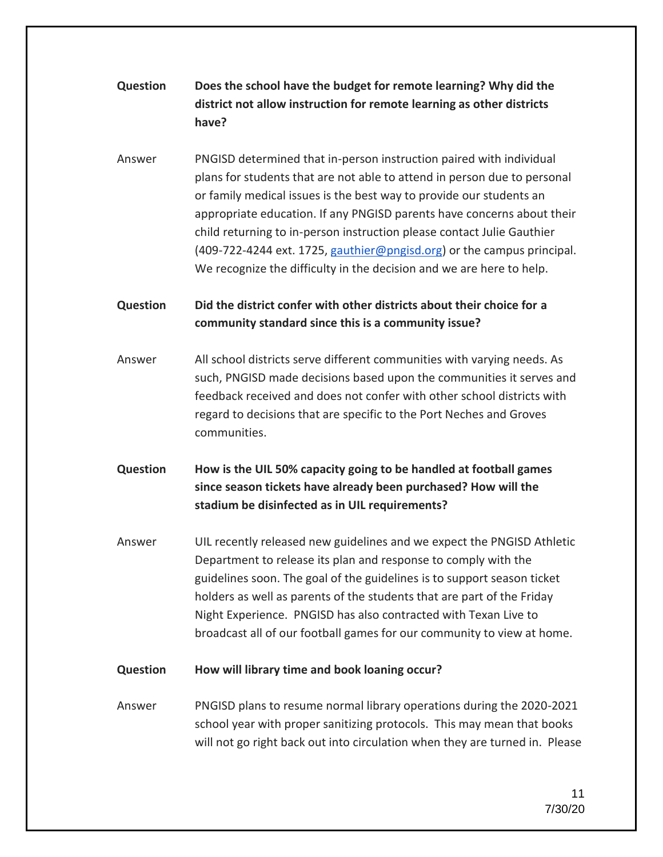# **Question Does the school have the budget for remote learning? Why did the district not allow instruction for remote learning as other districts have?**

Answer PNGISD determined that in-person instruction paired with individual plans for students that are not able to attend in person due to personal or family medical issues is the best way to provide our students an appropriate education. If any PNGISD parents have concerns about their child returning to in-person instruction please contact Julie Gauthier (409-722-4244 ext. 1725, [gauthier@pngisd.org\)](mailto:gauthier@pngisd.org) or the campus principal. We recognize the difficulty in the decision and we are here to help.

### **Question Did the district confer with other districts about their choice for a community standard since this is a community issue?**

Answer All school districts serve different communities with varying needs. As such, PNGISD made decisions based upon the communities it serves and feedback received and does not confer with other school districts with regard to decisions that are specific to the Port Neches and Groves communities.

# **Question How is the UIL 50% capacity going to be handled at football games since season tickets have already been purchased? How will the stadium be disinfected as in UIL requirements?**

Answer UIL recently released new guidelines and we expect the PNGISD Athletic Department to release its plan and response to comply with the guidelines soon. The goal of the guidelines is to support season ticket holders as well as parents of the students that are part of the Friday Night Experience. PNGISD has also contracted with Texan Live to broadcast all of our football games for our community to view at home.

### **Question How will library time and book loaning occur?**

Answer PNGISD plans to resume normal library operations during the 2020-2021 school year with proper sanitizing protocols. This may mean that books will not go right back out into circulation when they are turned in. Please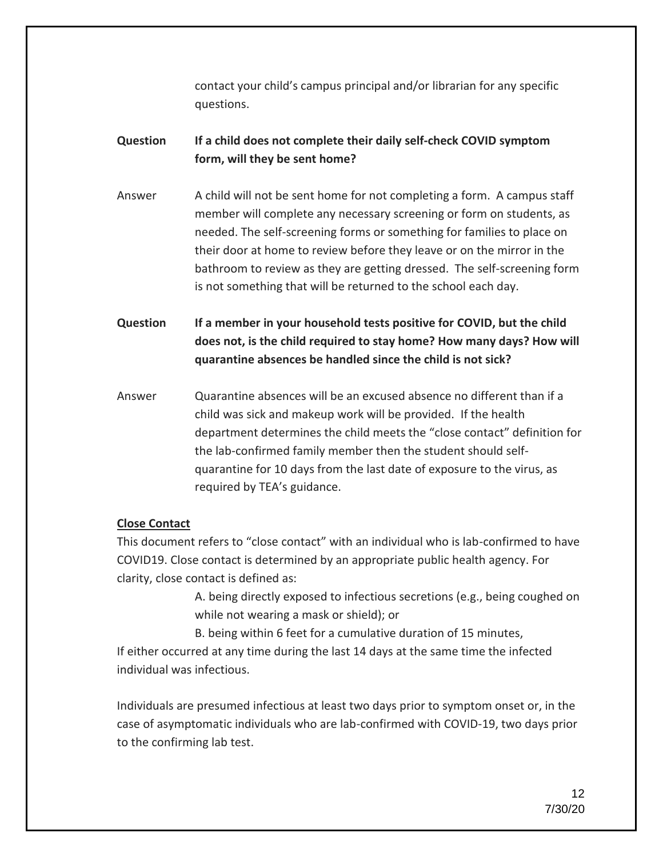contact your child's campus principal and/or librarian for any specific questions.

### **Question If a child does not complete their daily self-check COVID symptom form, will they be sent home?**

Answer A child will not be sent home for not completing a form. A campus staff member will complete any necessary screening or form on students, as needed. The self-screening forms or something for families to place on their door at home to review before they leave or on the mirror in the bathroom to review as they are getting dressed. The self-screening form is not something that will be returned to the school each day.

**Question If a member in your household tests positive for COVID, but the child does not, is the child required to stay home? How many days? How will quarantine absences be handled since the child is not sick?**

Answer Quarantine absences will be an excused absence no different than if a child was sick and makeup work will be provided. If the health department determines the child meets the "close contact" definition for the lab-confirmed family member then the student should selfquarantine for 10 days from the last date of exposure to the virus, as required by TEA's guidance.

### **Close Contact**

This document refers to "close contact" with an individual who is lab-confirmed to have COVID19. Close contact is determined by an appropriate public health agency. For clarity, close contact is defined as:

> A. being directly exposed to infectious secretions (e.g., being coughed on while not wearing a mask or shield); or

B. being within 6 feet for a cumulative duration of 15 minutes, If either occurred at any time during the last 14 days at the same time the infected

individual was infectious.

Individuals are presumed infectious at least two days prior to symptom onset or, in the case of asymptomatic individuals who are lab-confirmed with COVID-19, two days prior to the confirming lab test.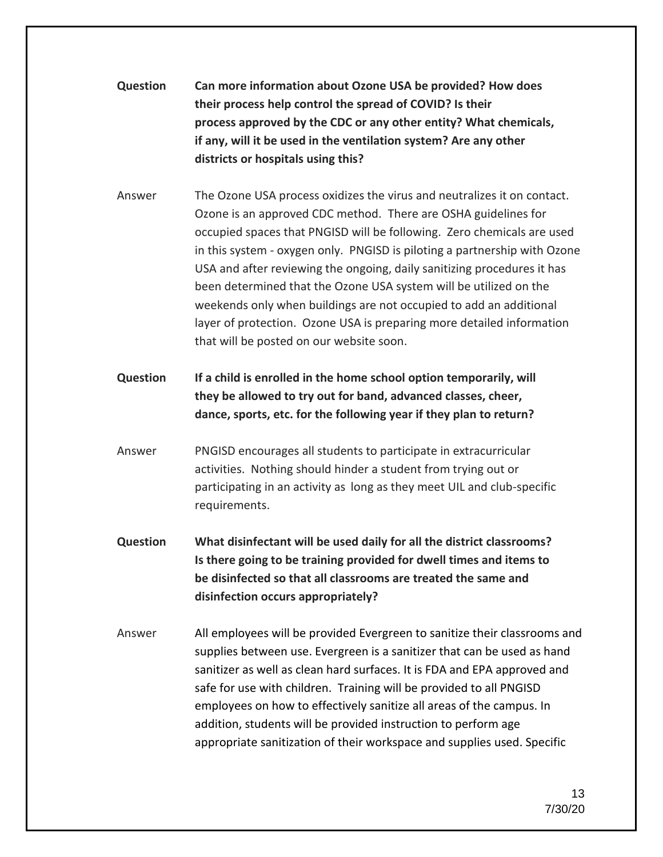# **Question Can more information about Ozone USA be provided? How does their process help control the spread of COVID? Is their process approved by the CDC or any other entity? What chemicals, if any, will it be used in the ventilation system? Are any other districts or hospitals using this?**

- Answer The Ozone USA process oxidizes the virus and neutralizes it on contact. Ozone is an approved CDC method. There are OSHA guidelines for occupied spaces that PNGISD will be following. Zero chemicals are used in this system - oxygen only. PNGISD is piloting a partnership with Ozone USA and after reviewing the ongoing, daily sanitizing procedures it has been determined that the Ozone USA system will be utilized on the weekends only when buildings are not occupied to add an additional layer of protection. Ozone USA is preparing more detailed information that will be posted on our website soon.
- **Question If a child is enrolled in the home school option temporarily, will they be allowed to try out for band, advanced classes, cheer, dance, sports, etc. for the following year if they plan to return?**
- Answer PNGISD encourages all students to participate in extracurricular activities. Nothing should hinder a student from trying out or participating in an activity as long as they meet UIL and club-specific requirements.
- **Question What disinfectant will be used daily for all the district classrooms? Is there going to be training provided for dwell times and items to be disinfected so that all classrooms are treated the same and disinfection occurs appropriately?**
- Answer All employees will be provided Evergreen to sanitize their classrooms and supplies between use. Evergreen is a sanitizer that can be used as hand sanitizer as well as clean hard surfaces. It is FDA and EPA approved and safe for use with children. Training will be provided to all PNGISD employees on how to effectively sanitize all areas of the campus. In addition, students will be provided instruction to perform age appropriate sanitization of their workspace and supplies used. Specific